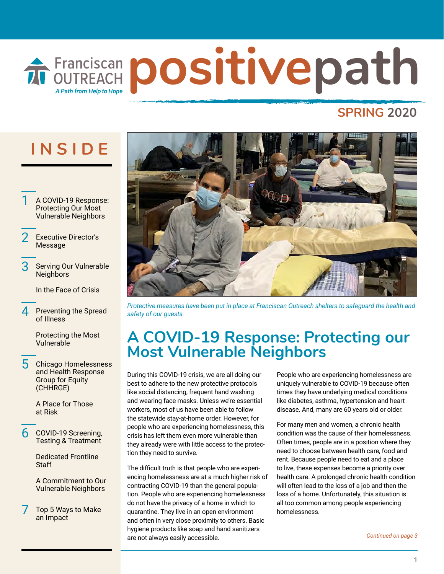# **FFANCISCAR positivepath** A Path from Help to Hope

### **SPRING 2020**

## **INSIDE**

- 1 A COVID-19 Response: Protecting Our Most Vulnerable Neighbors
- **[Executive Director's](#page-1-0)** Message
- Serving Our Vulnerable **Neighbors**

In the Face of Crisis

Preventing the Spread of Illness

> Protecting the Most Vulnerable

5 Chicago Homelessness and Health Response Group for Equity (CHHRGE)

> A Place for Those at Risk

6 COVID-19 Screening, Testing & Treatment

> Dedicated Frontline **Staff**

[A Commitment to Our](#page-5-0) Vulnerable Neighbors

7 [Top 5 Ways to Make](#page-6-0)  an Impact



*Protective measures have been put in place at Franciscan Outreach shelters to safeguard the health and safety of our guests.* 

### **A COVID-19 Response: Protecting our Most Vulnerable Neighbors**

During this COVID-19 crisis, we are all doing our best to adhere to the new protective protocols like social distancing, frequent hand washing and wearing face masks. Unless we're essential workers, most of us have been able to follow the statewide stay-at-home order. However, for people who are experiencing homelessness, this crisis has left them even more vulnerable than they already were with little access to the protection they need to survive.

The difficult truth is that people who are experiencing homelessness are at a much higher risk of contracting COVID-19 than the general population. People who are experiencing homelessness do not have the privacy of a home in which to quarantine. They live in an open environment and often in very close proximity to others. Basic hygiene products like soap and hand sanitizers are not always easily accessible.

People who are experiencing homelessness are uniquely vulnerable to COVID-19 because often times they have underlying medical conditions like diabetes, asthma, hypertension and heart disease. And, many are 60 years old or older.

For many men and women, a chronic health condition was the cause of their homelessness. Often times, people are in a position where they need to choose between health care, food and rent. Because people need to eat and a place to live, these expenses become a priority over health care. A prolonged chronic health condition will often lead to the loss of a job and then the loss of a home. Unfortunately, this situation is all too common among people experiencing homelessness.

*Continued on page 3*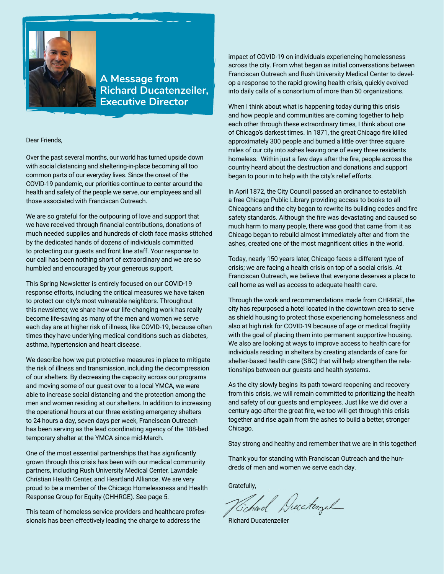<span id="page-1-0"></span>

**A Message from Richard Ducatenzeiler, Executive Director**

#### Dear Friends,

Over the past several months, our world has turned upside down with social distancing and sheltering-in-place becoming all too common parts of our everyday lives. Since the onset of the COVID-19 pandemic, our priorities continue to center around the health and safety of the people we serve, our employees and all those associated with Franciscan Outreach.

We are so grateful for the outpouring of love and support that we have received through financial contributions, donations of much needed supplies and hundreds of cloth face masks stitched by the dedicated hands of dozens of individuals committed to protecting our guests and front line staff. Your response to our call has been nothing short of extraordinary and we are so humbled and encouraged by your generous support.

This Spring Newsletter is entirely focused on our COVID-19 response efforts, including the critical measures we have taken to protect our city's most vulnerable neighbors. Throughout this newsletter, we share how our life-changing work has really become life-saving as many of the men and women we serve each day are at higher risk of illness, like COVID-19, because often times they have underlying medical conditions such as diabetes, asthma, hypertension and heart disease.

We describe how we put protective measures in place to mitigate the risk of illness and transmission, including the decompression of our shelters. By decreasing the capacity across our programs and moving some of our guest over to a local YMCA, we were able to increase social distancing and the protection among the men and women residing at our shelters. In addition to increasing the operational hours at our three existing emergency shelters to 24 hours a day, seven days per week, Franciscan Outreach has been serving as the lead coordinating agency of the 188-bed temporary shelter at the YMCA since mid-March.

One of the most essential partnerships that has significantly grown through this crisis has been with our medical community partners, including Rush University Medical Center, Lawndale Christian Health Center, and Heartland Alliance. We are very proud to be a member of the Chicago Homelessness and Health Response Group for Equity (CHHRGE). See page 5.

This team of homeless service providers and healthcare professionals has been effectively leading the charge to address the

impact of COVID-19 on individuals experiencing homelessness across the city. From what began as initial conversations between Franciscan Outreach and Rush University Medical Center to develop a response to the rapid growing health crisis, quickly evolved into daily calls of a consortium of more than 50 organizations.

When I think about what is happening today during this crisis and how people and communities are coming together to help each other through these extraordinary times, I think about one of Chicago's darkest times. In 1871, the great Chicago fire killed approximately 300 people and burned a little over three square miles of our city into ashes leaving one of every three residents homeless. Within just a few days after the fire, people across the country heard about the destruction and donations and support began to pour in to help with the city's relief efforts.

In April 1872, the City Council passed an ordinance to establish a free Chicago Public Library providing access to books to all Chicagoans and the city began to rewrite its building codes and fire safety standards. Although the fire was devastating and caused so much harm to many people, there was good that came from it as Chicago began to rebuild almost immediately after and from the ashes, created one of the most magnificent cities in the world.

Today, nearly 150 years later, Chicago faces a different type of crisis; we are facing a health crisis on top of a social crisis. At Franciscan Outreach, we believe that everyone deserves a place to call home as well as access to adequate health care.

Through the work and recommendations made from CHRRGE, the city has repurposed a hotel located in the downtown area to serve as shield housing to protect those experiencing homelessness and also at high risk for COVID-19 because of age or medical fragility with the goal of placing them into permanent supportive housing. We also are looking at ways to improve access to health care for individuals residing in shelters by creating standards of care for shelter-based health care (SBC) that will help strengthen the relationships between our guests and health systems.

As the city slowly begins its path toward reopening and recovery from this crisis, we will remain committed to prioritizing the health and safety of our guests and employees. Just like we did over a century ago after the great fire, we too will get through this crisis together and rise again from the ashes to build a better, stronger Chicago.

Stay strong and healthy and remember that we are in this together!

Thank you for standing with Franciscan Outreach and the hundreds of men and women we serve each day.

Gratefully,

Tchard Ducatingul

Richard Ducatenzeiler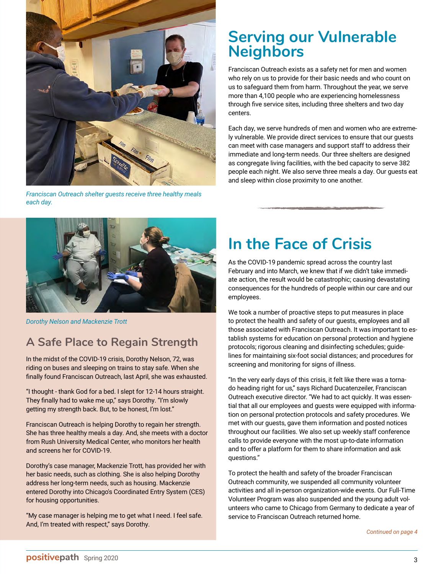<span id="page-2-0"></span>

*Franciscan Outreach shelter guests receive three healthy meals each day.*

### **Serving our Vulnerable Neighbors**

Franciscan Outreach exists as a safety net for men and women who rely on us to provide for their basic needs and who count on us to safeguard them from harm. Throughout the year, we serve more than 4,100 people who are experiencing homelessness through five service sites, including three shelters and two day centers.

Each day, we serve hundreds of men and women who are extremely vulnerable. We provide direct services to ensure that our guests can meet with case managers and support staff to address their immediate and long-term needs. Our three shelters are designed as congregate living facilities, with the bed capacity to serve 382 people each night. We also serve three meals a day. Our guests eat and sleep within close proximity to one another.



*Dorothy Nelson and Mackenzie Trott*

### **A Safe Place to Regain Strength**

In the midst of the COVID-19 crisis, Dorothy Nelson, 72, was riding on buses and sleeping on trains to stay safe. When she finally found Franciscan Outreach, last April, she was exhausted.

"I thought - thank God for a bed. I slept for 12-14 hours straight. They finally had to wake me up," says Dorothy. "I'm slowly getting my strength back. But, to be honest, I'm lost."

Franciscan Outreach is helping Dorothy to regain her strength. She has three healthy meals a day. And, she meets with a doctor from Rush University Medical Center, who monitors her health and screens her for COVID-19.

Dorothy's case manager, Mackenzie Trott, has provided her with her basic needs, such as clothing. She is also helping Dorothy address her long-term needs, such as housing. Mackenzie entered Dorothy into Chicago's Coordinated Entry System (CES) for housing opportunities.

"My case manager is helping me to get what I need. I feel safe. And, I'm treated with respect," says Dorothy.

## **In the Face of Crisis**

As the COVID-19 pandemic spread across the country last February and into March, we knew that if we didn't take immediate action, the result would be catastrophic; causing devastating consequences for the hundreds of people within our care and our employees.

We took a number of proactive steps to put measures in place to protect the health and safety of our guests, employees and all those associated with Franciscan Outreach. It was important to establish systems for education on personal protection and hygiene protocols; rigorous cleaning and disinfecting schedules; guidelines for maintaining six-foot social distances; and procedures for screening and monitoring for signs of illness.

"In the very early days of this crisis, it felt like there was a tornado heading right for us," says Richard Ducatenzeiler, Franciscan Outreach executive director. "We had to act quickly. It was essential that all our employees and guests were equipped with information on personal protection protocols and safety procedures. We met with our guests, gave them information and posted notices throughout our facilities. We also set up weekly staff conference calls to provide everyone with the most up-to-date information and to offer a platform for them to share information and ask questions."

To protect the health and safety of the broader Franciscan Outreach community, we suspended all community volunteer activities and all in-person organization-wide events. Our Full-Time Volunteer Program was also suspended and the young adult volunteers who came to Chicago from Germany to dedicate a year of service to Franciscan Outreach returned home.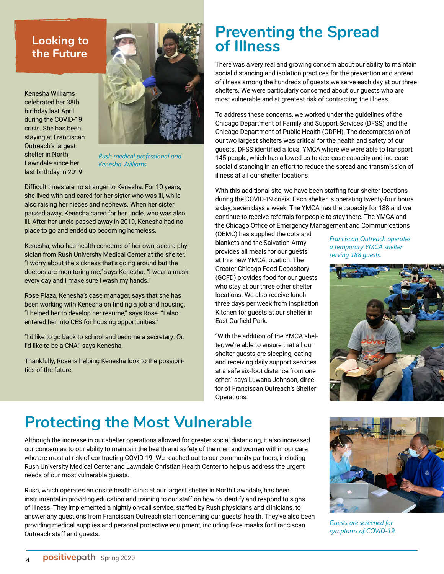### <span id="page-3-0"></span>**Looking to the Future**

Kenesha Williams celebrated her 38th birthday last April during the COVID-19 crisis. She has been staying at Franciscan Outreach's largest shelter in North Lawndale since her last birthday in 2019.



*Rush medical professional and Kenesha Williams*

Difficult times are no stranger to Kenesha. For 10 years, she lived with and cared for her sister who was ill, while also raising her nieces and nephews. When her sister passed away, Kenesha cared for her uncle, who was also ill. After her uncle passed away in 2019, Kenesha had no place to go and ended up becoming homeless.

Kenesha, who has health concerns of her own, sees a physician from Rush University Medical Center at the shelter. "I worry about the sickness that's going around but the doctors are monitoring me," says Kenesha. "I wear a mask every day and I make sure I wash my hands."

Rose Plaza, Kenesha's case manager, says that she has been working with Kenesha on finding a job and housing. "I helped her to develop her resume," says Rose. "I also entered her into CES for housing opportunities."

"I'd like to go back to school and become a secretary. Or, I'd like to be a CNA," says Kenesha.

Thankfully, Rose is helping Kenesha look to the possibilities of the future.

## **Preventing the Spread of Illness**

There was a very real and growing concern about our ability to maintain social distancing and isolation practices for the prevention and spread of illness among the hundreds of guests we serve each day at our three shelters. We were particularly concerned about our guests who are most vulnerable and at greatest risk of contracting the illness.

To address these concerns, we worked under the guidelines of the Chicago Department of Family and Support Services (DFSS) and the Chicago Department of Public Health (CDPH). The decompression of our two largest shelters was critical for the health and safety of our guests. DFSS identified a local YMCA where we were able to transport 145 people, which has allowed us to decrease capacity and increase social distancing in an effort to reduce the spread and transmission of illness at all our shelter locations.

With this additional site, we have been staffing four shelter locations during the COVID-19 crisis. Each shelter is operating twenty-four hours a day, seven days a week. The YMCA has the capacity for 188 and we continue to receive referrals for people to stay there. The YMCA and the Chicago Office of Emergency Management and Communications

(OEMC) has supplied the cots and blankets and the Salvation Army provides all meals for our guests at this new YMCA location. The Greater Chicago Food Depository (GCFD) provides food for our guests who stay at our three other shelter locations. We also receive lunch three days per week from Inspiration Kitchen for guests at our shelter in East Garfield Park.

"With the addition of the YMCA shelter, we're able to ensure that all our shelter guests are sleeping, eating and receiving daily support services at a safe six-foot distance from one other," says Luwana Johnson, director of Franciscan Outreach's Shelter Operations.

*Franciscan Outreach operates a temporary YMCA shelter serving 188 guests.*



## **Protecting the Most Vulnerable**

Although the increase in our shelter operations allowed for greater social distancing, it also increased our concern as to our ability to maintain the health and safety of the men and women within our care who are most at risk of contracting COVID-19. We reached out to our community partners, including Rush University Medical Center and Lawndale Christian Health Center to help us address the urgent needs of our most vulnerable guests.

Rush, which operates an onsite health clinic at our largest shelter in North Lawndale, has been instrumental in providing education and training to our staff on how to identify and respond to signs of illness. They implemented a nightly on-call service, staffed by Rush physicians and clinicians, to answer any questions from Franciscan Outreach staff concerning our guests' health. They've also been providing medical supplies and personal protective equipment, including face masks for Franciscan Outreach staff and guests.



*Guests are screened for symptoms of COVID-19.*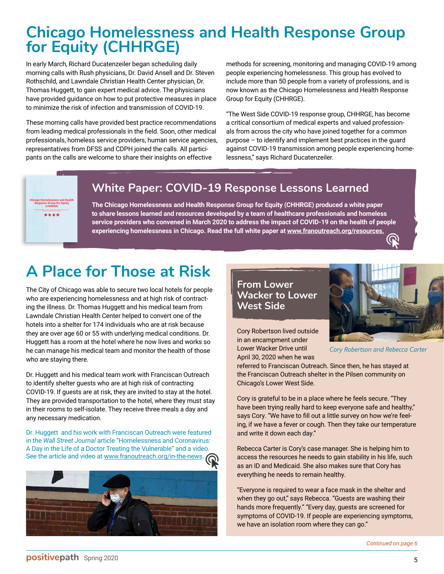## <span id="page-4-0"></span>**Chicago Homelessness and Health Response Group for Equity (CHHRGE)**

In early March, Richard Ducatenzeiler began scheduling daily morning calls with Rush physicians, Dr. David Ansell and Dr. Steven Rothschild, and Lawndale Christian Health Center physician, Dr. Thomas Huggett, to gain expert medical advice. The physicians have provided guidance on how to put protective measures in place to minimize the risk of infection and transmission of COVID-19.

These morning calls have provided best practice recommendations from leading medical professionals in the field. Soon, other medical professionals, homeless service providers, human service agencies, representatives from DFSS and CDPH joined the calls. All participants on the calls are welcome to share their insights on effective

methods for screening, monitoring and managing COVID-19 among people experiencing homelessness. This group has evolved to include more than 50 people from a variety of professions, and is now known as the Chicago Homelessness and Health Response Group for Equity (CHHRGE).

"The West Side COVID-19 response group, CHHRGE, has become a critical consortium of medical experts and valued professionals from across the city who have joined together for a common purpose – to identify and implement best practices in the guard against COVID-19 transmission among people experiencing homelessness," says Richard Ducatenzeiler.



### **White Paper: COVID-19 Response Lessons Learned**

**The Chicago Homelessness and Health Response Group for Equity (CHHRGE) produced a white paper to share lessons learned and resources developed by a team of healthcare professionals and homeless service providers who convened in March 2020 to address the impact of COVID-19 on the health of people experiencing homelessness in Chicago. Read the full white paper at [www.franoutreach.org/resources.](http://www.franoutreach.org/resources)**

## **A Place for Those at Risk**

The City of Chicago was able to secure two local hotels for people who are experiencing homelessness and at high risk of contracting the illness. Dr. Thomas Huggett and his medical team from Lawndale Christian Health Center helped to convert one of the hotels into a shelter for 174 individuals who are at risk because they are over age 60 or 55 with underlying medical conditions. Dr. Huggett has a room at the hotel where he now lives and works so he can manage his medical team and monitor the health of those who are staying there.

Dr. Huggett and his medical team work with Franciscan Outreach to identify shelter guests who are at high risk of contracting COVID-19. If guests are at risk, they are invited to stay at the hotel. They are provided transportation to the hotel, where they must stay in their rooms to self-isolate. They receive three meals a day and any necessary medication.

Dr. Huggett and his work with Franciscan Outreach were featured in the *Wall Street Journal* article "Homelessness and Coronavirus: A Day in the Life of a Doctor Treating the Vulnerable" and a video. See the article and video at [www.franoutreach.org/in-the-news.](http://www.franoutreach.org/in-the-news)



### **From Lower Wacker to Lower West Side**



Cory Robertson lived outside in an encampment under Lower Wacker Drive until April 30, 2020 when he was

*Cory Robertson and Rebecca Carter*

referred to Franciscan Outreach. Since then, he has stayed at the Franciscan Outreach shelter in the Pilsen community on Chicago's Lower West Side.

Cory is grateful to be in a place where he feels secure. "They have been trying really hard to keep everyone safe and healthy," says Cory. "We have to fill out a little survey on how we're feeling, if we have a fever or cough. Then they take our temperature and write it down each day."

Rebecca Carter is Cory's case manager. She is helping him to access the resources he needs to gain stability in his life, such as an ID and Medicaid. She also makes sure that Cory has everything he needs to remain healthy.

"Everyone is required to wear a face mask in the shelter and when they go out," says Rebecca. "Guests are washing their hands more frequently." "Every day, guests are screened for symptoms of COVID-19. If people are experiencing symptoms, we have an isolation room where they can go."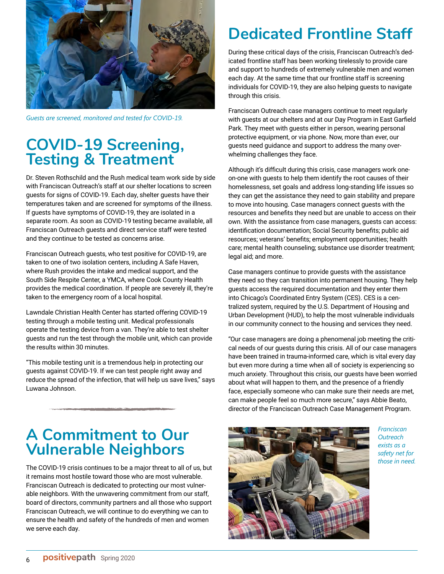<span id="page-5-0"></span>

*Guests are screened, monitored and tested for COVID-19.*

### **COVID-19 Screening, Testing & Treatment**

Dr. Steven Rothschild and the Rush medical team work side by side with Franciscan Outreach's staff at our shelter locations to screen guests for signs of COVID-19. Each day, shelter guests have their temperatures taken and are screened for symptoms of the illness. If guests have symptoms of COVID-19, they are isolated in a separate room. As soon as COVID-19 testing became available, all Franciscan Outreach guests and direct service staff were tested and they continue to be tested as concerns arise.

Franciscan Outreach guests, who test positive for COVID-19, are taken to one of two isolation centers, including A Safe Haven, where Rush provides the intake and medical support, and the South Side Respite Center, a YMCA, where Cook County Health provides the medical coordination. If people are severely ill, they're taken to the emergency room of a local hospital.

Lawndale Christian Health Center has started offering COVID-19 testing through a mobile testing unit. Medical professionals operate the testing device from a van. They're able to test shelter guests and run the test through the mobile unit, which can provide the results within 30 minutes.

"This mobile testing unit is a tremendous help in protecting our guests against COVID-19. If we can test people right away and reduce the spread of the infection, that will help us save lives," says Luwana Johnson.

## **Dedicated Frontline Staff**

During these critical days of the crisis, Franciscan Outreach's dedicated frontline staff has been working tirelessly to provide care and support to hundreds of extremely vulnerable men and women each day. At the same time that our frontline staff is screening individuals for COVID-19, they are also helping guests to navigate through this crisis.

Franciscan Outreach case managers continue to meet regularly with guests at our shelters and at our Day Program in East Garfield Park. They meet with guests either in person, wearing personal protective equipment, or via phone. Now, more than ever, our guests need guidance and support to address the many overwhelming challenges they face.

Although it's difficult during this crisis, case managers work oneon-one with guests to help them identify the root causes of their homelessness, set goals and address long-standing life issues so they can get the assistance they need to gain stability and prepare to move into housing. Case managers connect guests with the resources and benefits they need but are unable to access on their own. With the assistance from case managers, guests can access: identification documentation; Social Security benefits; public aid resources; veterans' benefits; employment opportunities; health care; mental health counseling; substance use disorder treatment; legal aid; and more.

Case managers continue to provide guests with the assistance they need so they can transition into permanent housing. They help guests access the required documentation and they enter them into Chicago's Coordinated Entry System (CES). CES is a centralized system, required by the U.S. Department of Housing and Urban Development (HUD), to help the most vulnerable individuals in our community connect to the housing and services they need.

"Our case managers are doing a phenomenal job meeting the critical needs of our guests during this crisis. All of our case managers have been trained in trauma-informed care, which is vital every day but even more during a time when all of society is experiencing so much anxiety. Throughout this crisis, our guests have been worried about what will happen to them, and the presence of a friendly face, especially someone who can make sure their needs are met, can make people feel so much more secure," says Abbie Beato, director of the Franciscan Outreach Case Management Program.

### **A Commitment to Our Vulnerable Neighbors**

The COVID-19 crisis continues to be a major threat to all of us, but it remains most hostile toward those who are most vulnerable. Franciscan Outreach is dedicated to protecting our most vulnerable neighbors. With the unwavering commitment from our staff, board of directors, community partners and all those who support Franciscan Outreach, we will continue to do everything we can to ensure the health and safety of the hundreds of men and women we serve each day.



*Franciscan Outreach exists as a safety net for those in need.*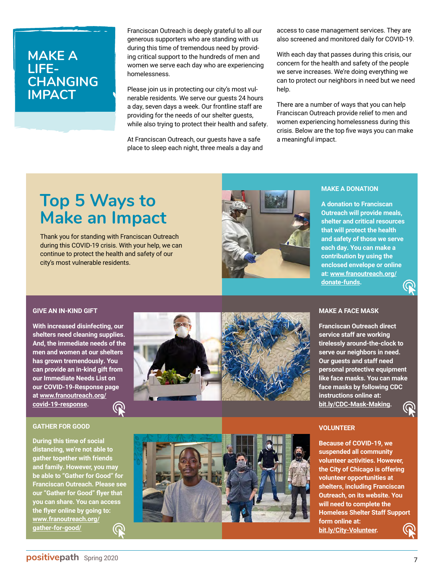### <span id="page-6-0"></span>**MAKE A LIFE-CHANGING IMPACT**

Franciscan Outreach is deeply grateful to all our generous supporters who are standing with us during this time of tremendous need by providing critical support to the hundreds of men and women we serve each day who are experiencing homelessness.

Please join us in protecting our city's most vulnerable residents. We serve our guests 24 hours a day, seven days a week. Our frontline staff are providing for the needs of our shelter guests, while also trying to protect their health and safety.

At Franciscan Outreach, our guests have a safe place to sleep each night, three meals a day and access to case management services. They are also screened and monitored daily for COVID-19.

With each day that passes during this crisis, our concern for the health and safety of the people we serve increases. We're doing everything we can to protect our neighbors in need but we need help.

There are a number of ways that you can help Franciscan Outreach provide relief to men and women experiencing homelessness during this crisis. Below are the top five ways you can make a meaningful impact.

## **Top 5 Ways to Make an Impact**

Thank you for standing with Franciscan Outreach during this COVID-19 crisis. With your help, we can continue to protect the health and safety of our city's most vulnerable residents.



#### **MAKE A DONATION**

**A donation to Franciscan Outreach will provide meals, shelter and critical resources that will protect the health and safety of those we serve each day. You can make a contribution by using the enclosed envelope or online [at: www.franoutreach.org/](http://www.franoutreach.org/donate-funds) donate-funds.**

#### **GIVE AN IN-KIND GIFT**

**With increased disinfecting, our shelters need cleaning supplies. And, the immediate needs of the men and women at our shelters has grown tremendously. You can provide an in-kind gift from our Immediate Needs List on our COVID-19-Response page [at www.franoutreach.org/](http://www.franoutreach.org/covid-19-response) covid-19-response.**  $\boldsymbol{\varpi}$ 

#### **GATHER FOR GOOD**

**During this time of social distancing, we're not able to gather together with friends and family. However, you may be able to "Gather for Good" for Franciscan Outreach. Please see our "Gather for Good" flyer that you can share. You can access the flyer online by going to: www.[franoutreach.org/](http://www.franoutreach.org/gather-for-good) gather-for-good/**  $\bm{\omega}$ 



#### **MAKE A FACE MASK**

**Franciscan Outreach direct service staff are working tirelessly around-the-clock to serve our neighbors in need. Our guests and staff need personal protective equipment like face masks. You can make face masks by following CDC instructions online at: [bit.ly/CDC-Mask-Making.](https://www.cdc.gov/coronavirus/2019-ncov/prevent-getting-sick/diy-cloth-face-coverings.html)**



#### **VOLUNTEER**

**Because of COVID-19, we suspended all community volunteer activities. However, the City of Chicago is offering volunteer opportunities at shelters, including Franciscan Outreach, on its website. You will need to complete the Homeless Shelter Staff Support form online at: [bit.ly/City-Volunteer.](https://forms.office.com/Pages/ResponsePage.aspx?id=4Pi1vfunDkaD5_owFkXUikD8dyxgu01MnVozGCSRgZtUOVMySVFOQk9ES1JTNzBPQ0dKR0RLNE9YRC4u)**